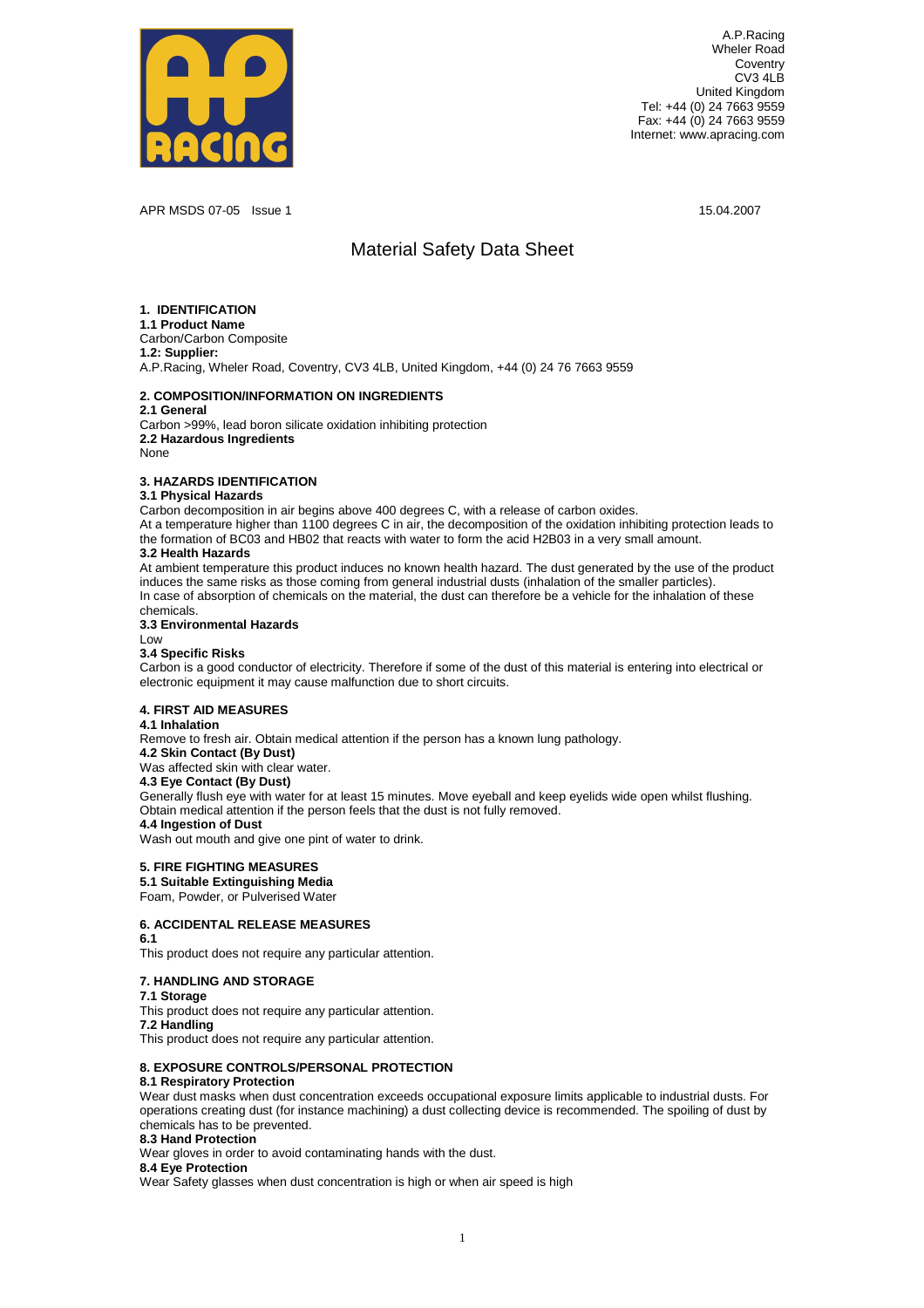

A.P.Racing WhelerRoad **Coventry** CV34LB **United Kingdom** Tel: +44 (0) 24 7663 9559 Fax: +44(0) 2476639559 Internet: www.apracing.com

APRMSDS07-05 Issue1 15.04.2007

# Material Safety Data Sheet

| <b>1.IDENTIFICATION</b><br>1.1ProductName<br>Carbon/CarbonComposite<br>1.2:Supplier:                                                                                                                                                                                                                                                                                                                               |                                                                                                                                                                                                                                                                             |                                                    |
|--------------------------------------------------------------------------------------------------------------------------------------------------------------------------------------------------------------------------------------------------------------------------------------------------------------------------------------------------------------------------------------------------------------------|-----------------------------------------------------------------------------------------------------------------------------------------------------------------------------------------------------------------------------------------------------------------------------|----------------------------------------------------|
| A.P.Racing, WhelerRoad, Coventry, CV34LB, United                                                                                                                                                                                                                                                                                                                                                                   | Kingdom,+44(0)247676639559                                                                                                                                                                                                                                                  |                                                    |
| 2.COMPOSITION/INFORMATIONONINGREDIENTS<br>2.1General                                                                                                                                                                                                                                                                                                                                                               |                                                                                                                                                                                                                                                                             |                                                    |
| Carbon>99%,leadboronsilicateoxidationinhibiti<br>2.2HazardousIngredients<br>None                                                                                                                                                                                                                                                                                                                                   | ngprotection                                                                                                                                                                                                                                                                |                                                    |
| <b>3.HAZARDSIDENTIFICATION</b><br>3.1PhysicalHazards<br>Carbondecompositioninairbeginsabove400degree<br>Atatemperaturehigherthan1100degreesCinair,<br>theformationofBC03andHB02thatreactswithwat<br>3.2HealthHazards<br>Atambienttemperaturethisproductinducesnoknow<br>inducesthesamerisksasthosecomingfromgeneral<br>Incaseofabsorptionofchemicalsonthematerial,<br>chemicals.<br>3.3EnvironmentalHazards<br>Low | sC,withareleaseofcarbonoxides.<br>thedecompositionoftheoxidationinhibitingprot<br>ertoformtheacidH2B03inaverysmallamount.<br>nhealthhazard. The dust generated by the use of t<br>industrialdusts(inhalationofthesmallerpartic<br>thedustcanthereforebeavehiclefortheinhala | ectionleadsto<br>heproduct<br>les).<br>tionofthese |
| 3.4SpecificRisks<br>Carbonisagoodconductorofelectricity. Therefor<br>electronicequipmentitmaycausemalfunctionduet                                                                                                                                                                                                                                                                                                  | eifsomeofthedustofthismaterialisentering<br>oshortcircuits.                                                                                                                                                                                                                 | intoelectricalor                                   |
| <b>4.FIRSTAIDMEASURES</b><br>4.1Inhalation<br>Removetofreshair.Obtainmedicalattentionifth<br>4.2SkinContact(ByDust)<br>Wasaffectedskinwithclearwater.<br>4.3EyeContact(ByDust)<br>Generallyflusheyewithwaterforatleast15minu<br>Obtainmedicalattentionifthepersonfeelsthatt<br>4.4IngestionofDust<br>Washoutmouthandgiveonepintofwatertodrink.                                                                     | epersonhasaknownlungpathology.<br>tes.Moveeyeballandkeepeyelidswideopenwhilst<br>hedustisnotfullyremoved.                                                                                                                                                                   | flushing.                                          |
| <b>5.FIREFIGHTINGMEASURES</b><br>5.1SuitableExtinguishingMedia<br>Foam, Powder, or Pulverised Water                                                                                                                                                                                                                                                                                                                |                                                                                                                                                                                                                                                                             |                                                    |
| 6.ACCIDENTALRELEASEMEASURES<br>6.1<br>Thisproductdoesnotrequireanyparticularattent                                                                                                                                                                                                                                                                                                                                 | ion.                                                                                                                                                                                                                                                                        |                                                    |
| 7.HANDLINGANDSTORAGE<br>7.1Storage<br>Thisproductdoesnotrequireanyparticularattent<br>7.2Handling<br>Thisproductdoesnotrequireanyparticularattent                                                                                                                                                                                                                                                                  | ion.<br>ion.                                                                                                                                                                                                                                                                |                                                    |
| 8.EXPOSURECONTROLS/PERSONALPROTECTION                                                                                                                                                                                                                                                                                                                                                                              |                                                                                                                                                                                                                                                                             |                                                    |
| 8.1RespiratoryProtection<br>Weardustmaskswhendustconcentrationexceedsocc<br>operationscreatingdust(forinstancemachining)a<br>chemicalshastobeprevented.                                                                                                                                                                                                                                                            | upationalexposurelimitsapplicabletoindustrial<br>dustcollectingdeviceisrecommended. Thespoilin                                                                                                                                                                              | dusts.For<br>gofdustby                             |
| 8.3HandProtection<br>Wearglovesinordertoavoidcontaminatinghandsw                                                                                                                                                                                                                                                                                                                                                   | <i>iththedust.</i>                                                                                                                                                                                                                                                          |                                                    |
| 8.4EyeProtection<br>WearSafetyglasseswhendustconcentrationishigh                                                                                                                                                                                                                                                                                                                                                   | orwhenairspeedishigh                                                                                                                                                                                                                                                        |                                                    |